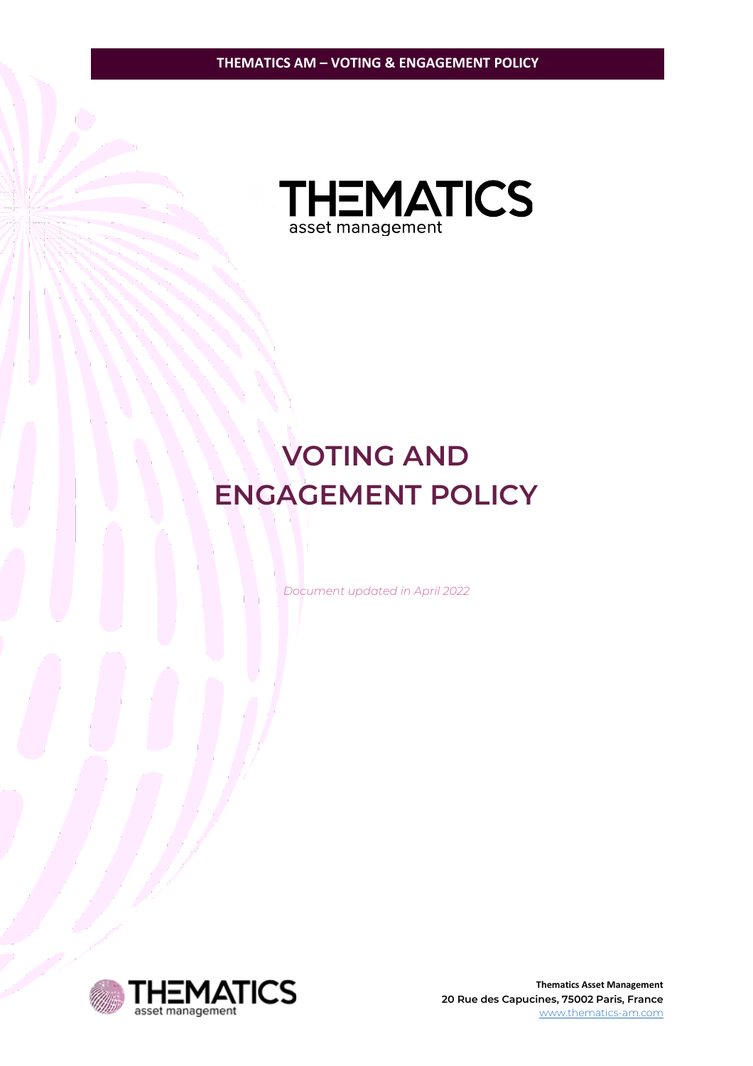

# **VOTING AND ENGAGEMENT POLICY**

*Document updated in April 2022*



**Thematics Asset Management 20 Rue des Capucines, 75002 Paris, France** [www.thematics-am.com](http://www.thematics-am.com/)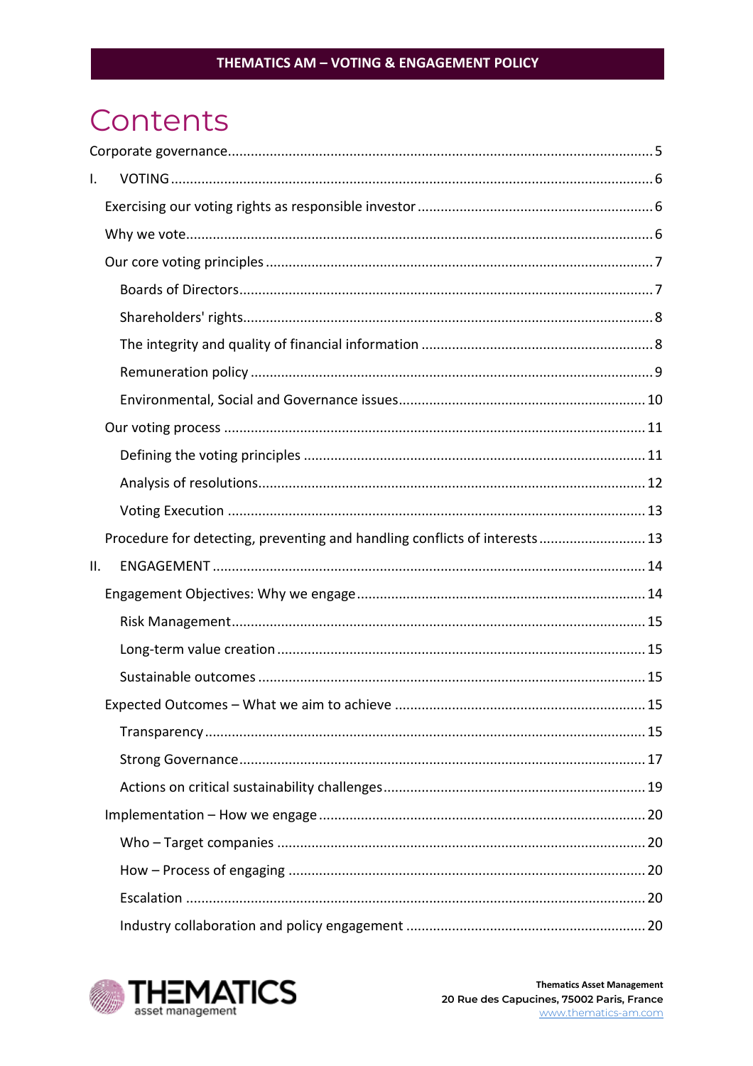# Contents

| I.  |                                                                            |  |
|-----|----------------------------------------------------------------------------|--|
|     |                                                                            |  |
|     |                                                                            |  |
|     |                                                                            |  |
|     |                                                                            |  |
|     |                                                                            |  |
|     |                                                                            |  |
|     |                                                                            |  |
|     |                                                                            |  |
|     |                                                                            |  |
|     |                                                                            |  |
|     |                                                                            |  |
|     |                                                                            |  |
|     | Procedure for detecting, preventing and handling conflicts of interests 13 |  |
| ΙΙ. |                                                                            |  |
|     |                                                                            |  |
|     |                                                                            |  |
|     |                                                                            |  |
|     |                                                                            |  |
|     |                                                                            |  |
|     |                                                                            |  |
|     |                                                                            |  |
|     |                                                                            |  |
|     |                                                                            |  |
|     |                                                                            |  |
|     |                                                                            |  |
|     |                                                                            |  |
|     |                                                                            |  |

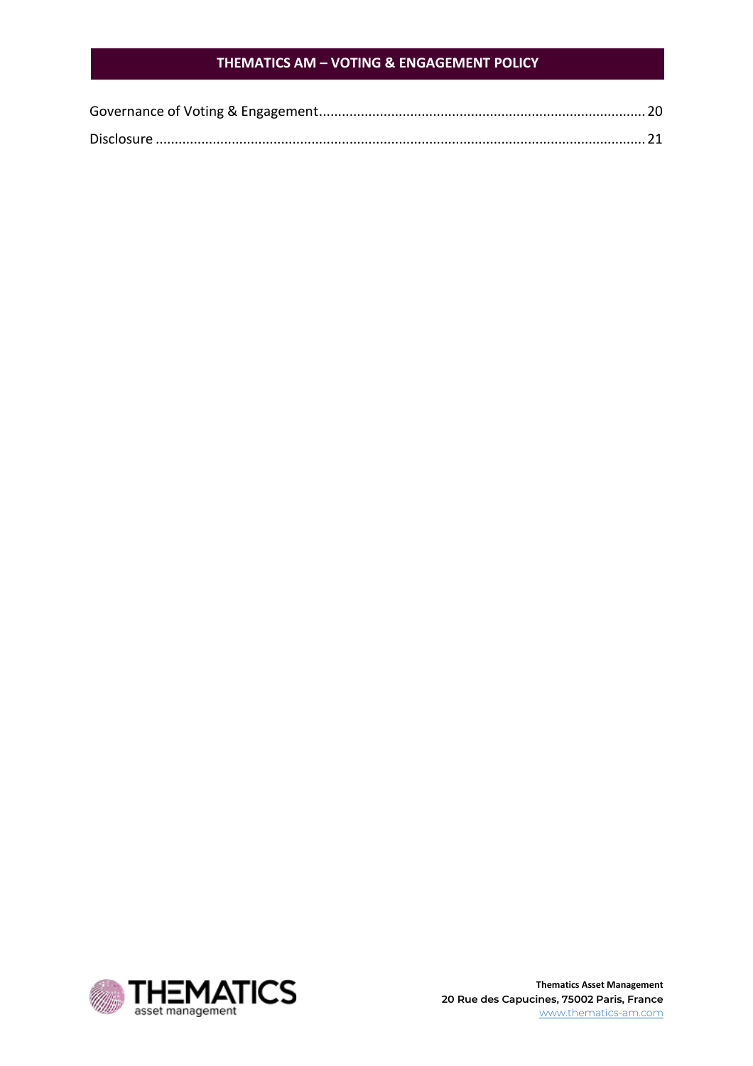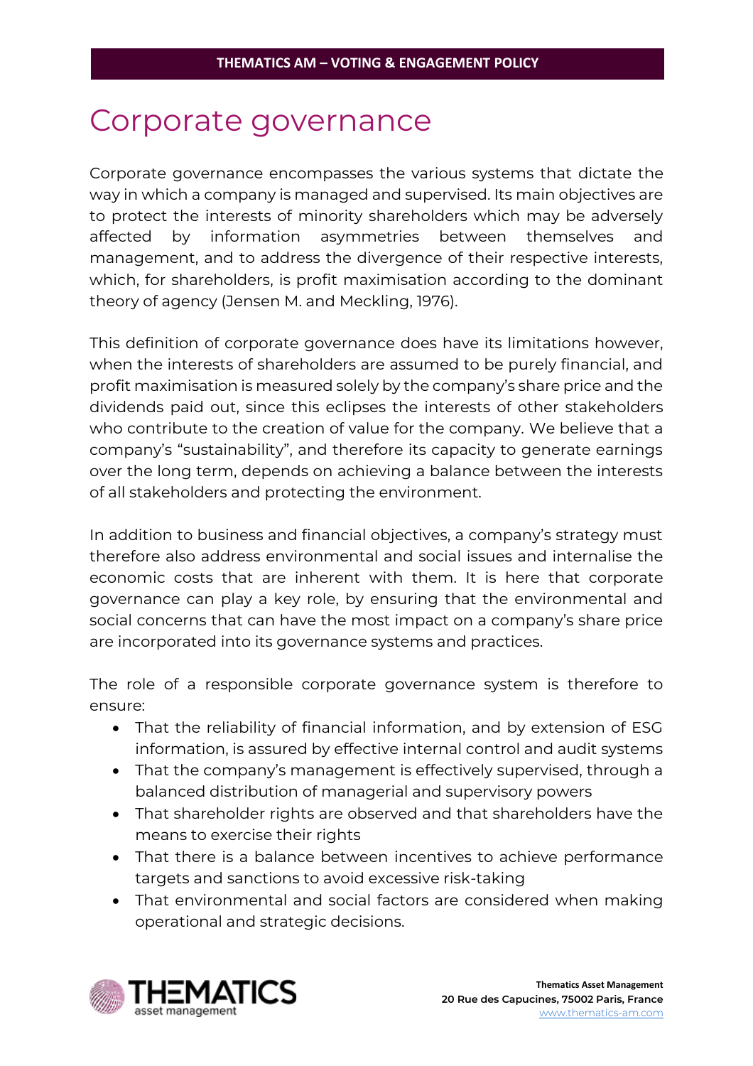# <span id="page-3-0"></span>Corporate governance

Corporate governance encompasses the various systems that dictate the way in which a company is managed and supervised. Its main objectives are to protect the interests of minority shareholders which may be adversely affected by information asymmetries between themselves and management, and to address the divergence of their respective interests, which, for shareholders, is profit maximisation according to the dominant theory of agency (Jensen M. and Meckling, 1976).

This definition of corporate governance does have its limitations however, when the interests of shareholders are assumed to be purely financial, and profit maximisation is measured solely by the company's share price and the dividends paid out, since this eclipses the interests of other stakeholders who contribute to the creation of value for the company. We believe that a company's "sustainability", and therefore its capacity to generate earnings over the long term, depends on achieving a balance between the interests of all stakeholders and protecting the environment.

In addition to business and financial objectives, a company's strategy must therefore also address environmental and social issues and internalise the economic costs that are inherent with them. It is here that corporate governance can play a key role, by ensuring that the environmental and social concerns that can have the most impact on a company's share price are incorporated into its governance systems and practices.

The role of a responsible corporate governance system is therefore to ensure:

- That the reliability of financial information, and by extension of ESG information, is assured by effective internal control and audit systems
- That the company's management is effectively supervised, through a balanced distribution of managerial and supervisory powers
- That shareholder rights are observed and that shareholders have the means to exercise their rights
- That there is a balance between incentives to achieve performance targets and sanctions to avoid excessive risk-taking
- That environmental and social factors are considered when making operational and strategic decisions.

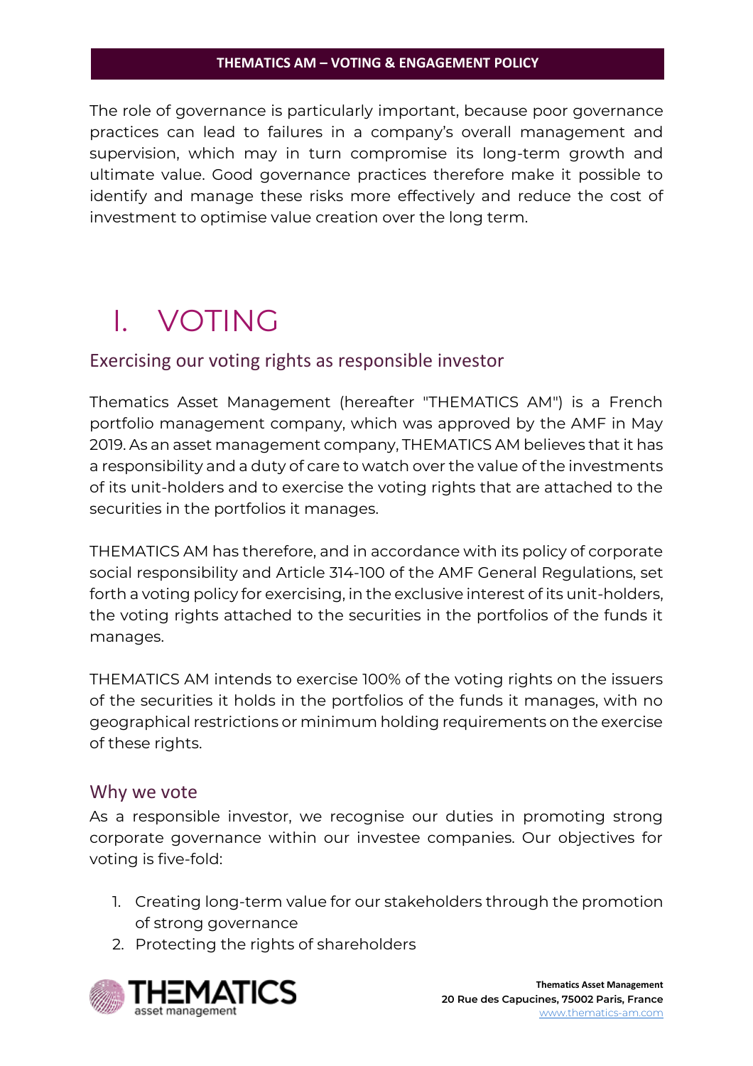The role of governance is particularly important, because poor governance practices can lead to failures in a company's overall management and supervision, which may in turn compromise its long-term growth and ultimate value. Good governance practices therefore make it possible to identify and manage these risks more effectively and reduce the cost of investment to optimise value creation over the long term.

# <span id="page-4-0"></span>I. VOTING

# <span id="page-4-1"></span>Exercising our voting rights as responsible investor

Thematics Asset Management (hereafter "THEMATICS AM") is a French portfolio management company, which was approved by the AMF in May 2019. As an asset management company, THEMATICS AM believes that it has a responsibility and a duty of care to watch over the value of the investments of its unit-holders and to exercise the voting rights that are attached to the securities in the portfolios it manages.

THEMATICS AM has therefore, and in accordance with its policy of corporate social responsibility and Article 314-100 of the AMF General Regulations, set forth a voting policy for exercising, in the exclusive interest of its unit-holders, the voting rights attached to the securities in the portfolios of the funds it manages.

THEMATICS AM intends to exercise 100% of the voting rights on the issuers of the securities it holds in the portfolios of the funds it manages, with no geographical restrictions or minimum holding requirements on the exercise of these rights.

# <span id="page-4-2"></span>Why we vote

As a responsible investor, we recognise our duties in promoting strong corporate governance within our investee companies. Our objectives for voting is five-fold:

- 1. Creating long-term value for our stakeholders through the promotion of strong governance
- 2. Protecting the rights of shareholders

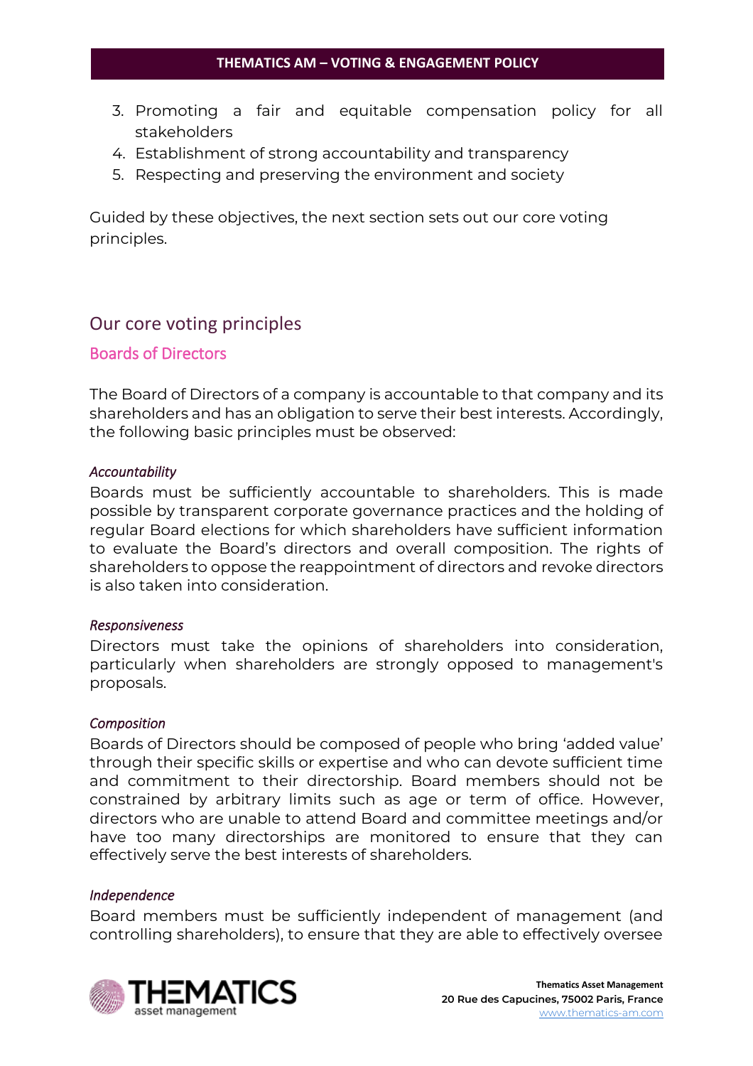- 3. Promoting a fair and equitable compensation policy for all stakeholders
- 4. Establishment of strong accountability and transparency
- 5. Respecting and preserving the environment and society

Guided by these objectives, the next section sets out our core voting principles.

# <span id="page-5-0"></span>Our core voting principles

# <span id="page-5-1"></span>Boards of Directors

The Board of Directors of a company is accountable to that company and its shareholders and has an obligation to serve their best interests. Accordingly, the following basic principles must be observed:

# *Accountability*

Boards must be sufficiently accountable to shareholders. This is made possible by transparent corporate governance practices and the holding of regular Board elections for which shareholders have sufficient information to evaluate the Board's directors and overall composition. The rights of shareholders to oppose the reappointment of directors and revoke directors is also taken into consideration.

### *Responsiveness*

Directors must take the opinions of shareholders into consideration, particularly when shareholders are strongly opposed to management's proposals.

### *Composition*

Boards of Directors should be composed of people who bring 'added value' through their specific skills or expertise and who can devote sufficient time and commitment to their directorship. Board members should not be constrained by arbitrary limits such as age or term of office. However, directors who are unable to attend Board and committee meetings and/or have too many directorships are monitored to ensure that they can effectively serve the best interests of shareholders.

### *Independence*

Board members must be sufficiently independent of management (and controlling shareholders), to ensure that they are able to effectively oversee

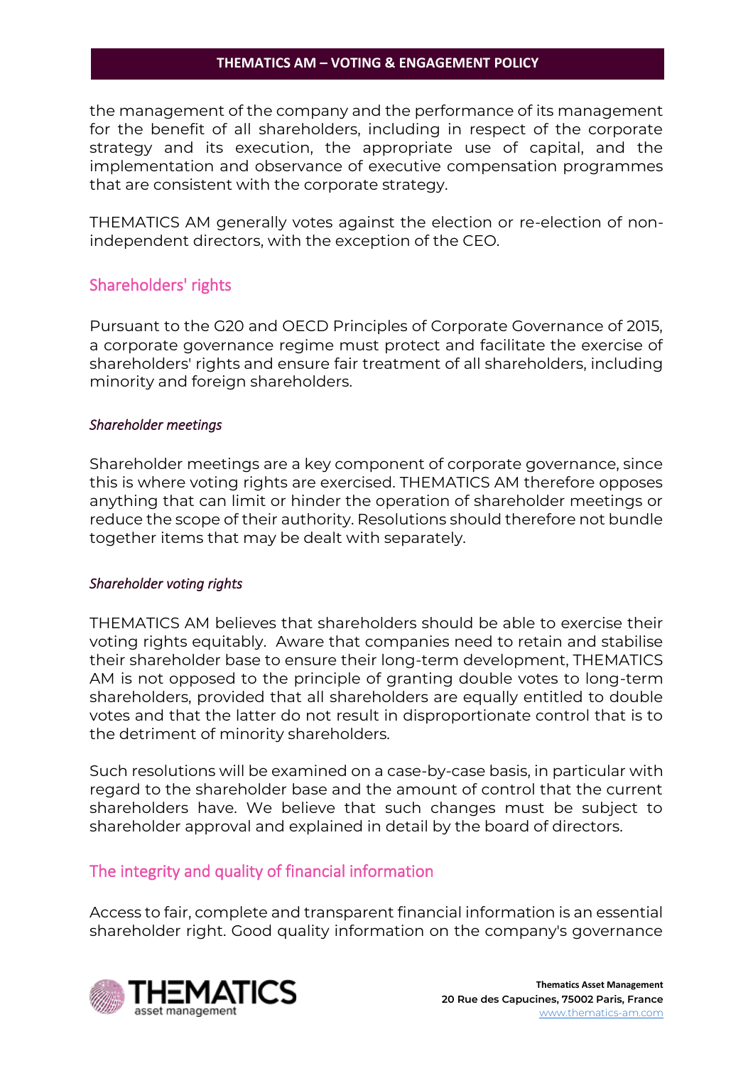the management of the company and the performance of its management for the benefit of all shareholders, including in respect of the corporate strategy and its execution, the appropriate use of capital, and the implementation and observance of executive compensation programmes that are consistent with the corporate strategy.

THEMATICS AM generally votes against the election or re-election of nonindependent directors, with the exception of the CEO.

# <span id="page-6-0"></span>Shareholders' rights

Pursuant to the G20 and OECD Principles of Corporate Governance of 2015, a corporate governance regime must protect and facilitate the exercise of shareholders' rights and ensure fair treatment of all shareholders, including minority and foreign shareholders.

# *Shareholder meetings*

Shareholder meetings are a key component of corporate governance, since this is where voting rights are exercised. THEMATICS AM therefore opposes anything that can limit or hinder the operation of shareholder meetings or reduce the scope of their authority. Resolutions should therefore not bundle together items that may be dealt with separately.

### *Shareholder voting rights*

THEMATICS AM believes that shareholders should be able to exercise their voting rights equitably. Aware that companies need to retain and stabilise their shareholder base to ensure their long-term development, THEMATICS AM is not opposed to the principle of granting double votes to long-term shareholders, provided that all shareholders are equally entitled to double votes and that the latter do not result in disproportionate control that is to the detriment of minority shareholders.

Such resolutions will be examined on a case-by-case basis, in particular with regard to the shareholder base and the amount of control that the current shareholders have. We believe that such changes must be subject to shareholder approval and explained in detail by the board of directors.

# <span id="page-6-1"></span>The integrity and quality of financial information

Access to fair, complete and transparent financial information is an essential shareholder right. Good quality information on the company's governance

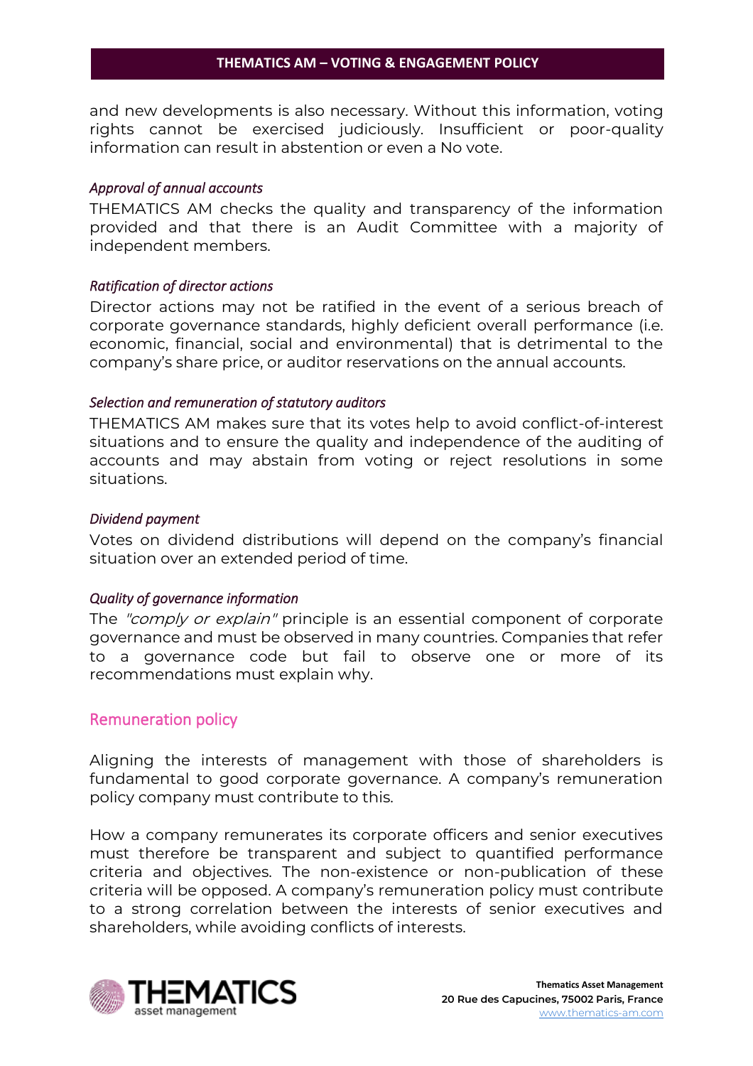and new developments is also necessary. Without this information, voting rights cannot be exercised judiciously. Insufficient or poor-quality information can result in abstention or even a No vote.

### *Approval of annual accounts*

THEMATICS AM checks the quality and transparency of the information provided and that there is an Audit Committee with a majority of independent members.

# *Ratification of director actions*

Director actions may not be ratified in the event of a serious breach of corporate governance standards, highly deficient overall performance (i.e. economic, financial, social and environmental) that is detrimental to the company's share price, or auditor reservations on the annual accounts.

# *Selection and remuneration of statutory auditors*

THEMATICS AM makes sure that its votes help to avoid conflict-of-interest situations and to ensure the quality and independence of the auditing of accounts and may abstain from voting or reject resolutions in some situations.

# *Dividend payment*

Votes on dividend distributions will depend on the company's financial situation over an extended period of time.

# *Quality of governance information*

The "comply or explain" principle is an essential component of corporate governance and must be observed in many countries. Companies that refer to a governance code but fail to observe one or more of its recommendations must explain why.

# <span id="page-7-0"></span>Remuneration policy

Aligning the interests of management with those of shareholders is fundamental to good corporate governance. A company's remuneration policy company must contribute to this.

How a company remunerates its corporate officers and senior executives must therefore be transparent and subject to quantified performance criteria and objectives. The non-existence or non-publication of these criteria will be opposed. A company's remuneration policy must contribute to a strong correlation between the interests of senior executives and shareholders, while avoiding conflicts of interests.

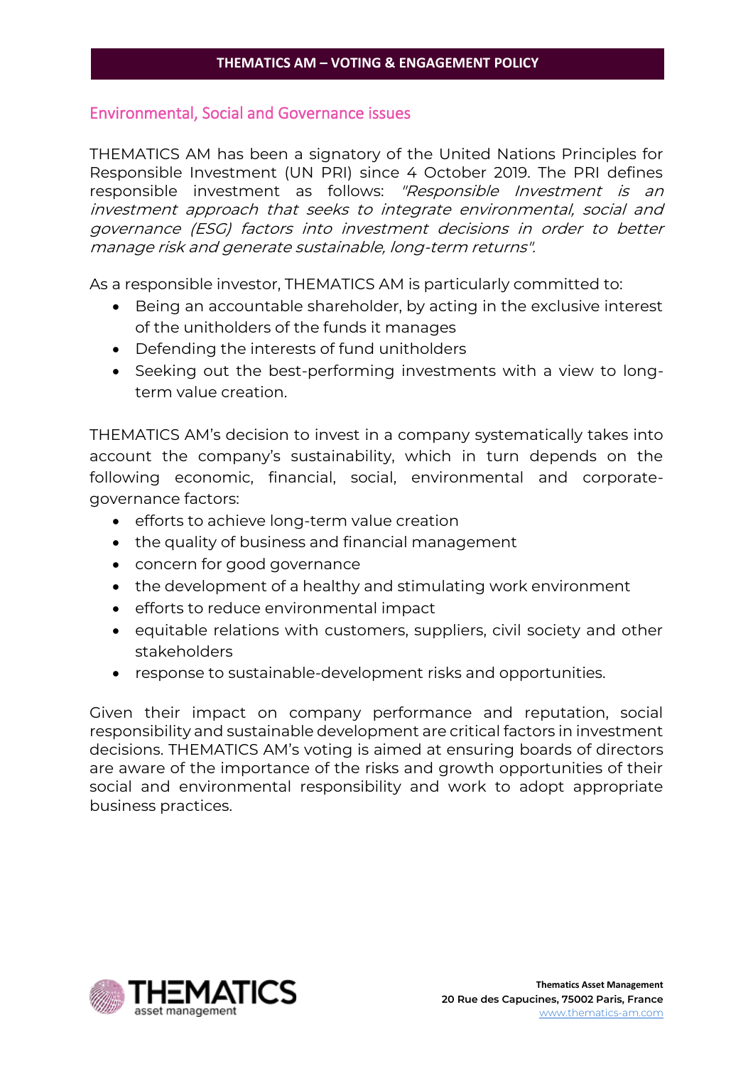# <span id="page-8-0"></span>Environmental, Social and Governance issues

THEMATICS AM has been a signatory of the United Nations Principles for Responsible Investment (UN PRI) since 4 October 2019. The PRI defines responsible investment as follows: "Responsible Investment is an investment approach that seeks to integrate environmental, social and governance (ESG) factors into investment decisions in order to better manage risk and generate sustainable, long-term returns".

As a responsible investor, THEMATICS AM is particularly committed to:

- Being an accountable shareholder, by acting in the exclusive interest of the unitholders of the funds it manages
- Defending the interests of fund unitholders
- Seeking out the best-performing investments with a view to longterm value creation.

THEMATICS AM's decision to invest in a company systematically takes into account the company's sustainability, which in turn depends on the following economic, financial, social, environmental and corporategovernance factors:

- efforts to achieve long-term value creation
- the quality of business and financial management
- concern for good governance
- the development of a healthy and stimulating work environment
- efforts to reduce environmental impact
- equitable relations with customers, suppliers, civil society and other stakeholders
- response to sustainable-development risks and opportunities.

Given their impact on company performance and reputation, social responsibility and sustainable development are critical factors in investment decisions. THEMATICS AM's voting is aimed at ensuring boards of directors are aware of the importance of the risks and growth opportunities of their social and environmental responsibility and work to adopt appropriate business practices.

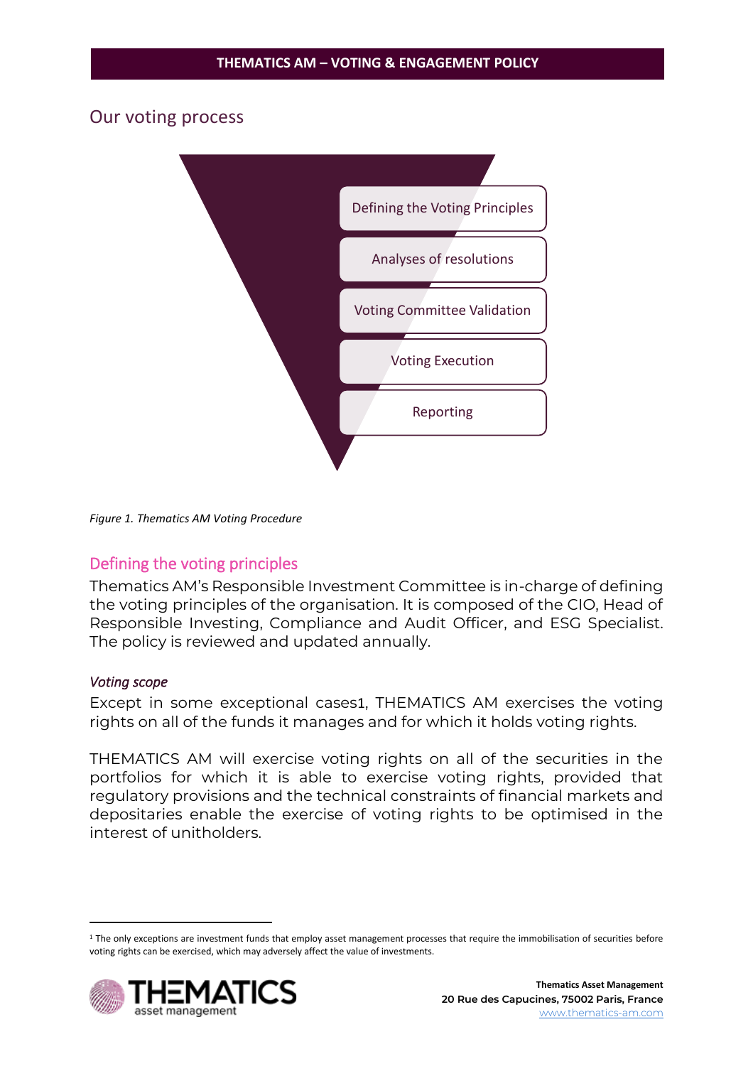# <span id="page-9-0"></span>Our voting process



*Figure 1. Thematics AM Voting Procedure*

# <span id="page-9-1"></span>Defining the voting principles

Thematics AM's Responsible Investment Committee is in-charge of defining the voting principles of the organisation. It is composed of the CIO, Head of Responsible Investing, Compliance and Audit Officer, and ESG Specialist. The policy is reviewed and updated annually.

### *Voting scope*

Except in some exceptional cases1, THEMATICS AM exercises the voting rights on all of the funds it manages and for which it holds voting rights.

THEMATICS AM will exercise voting rights on all of the securities in the portfolios for which it is able to exercise voting rights, provided that regulatory provisions and the technical constraints of financial markets and depositaries enable the exercise of voting rights to be optimised in the interest of unitholders.

<sup>&</sup>lt;sup>1</sup> The only exceptions are investment funds that employ asset management processes that require the immobilisation of securities before voting rights can be exercised, which may adversely affect the value of investments.

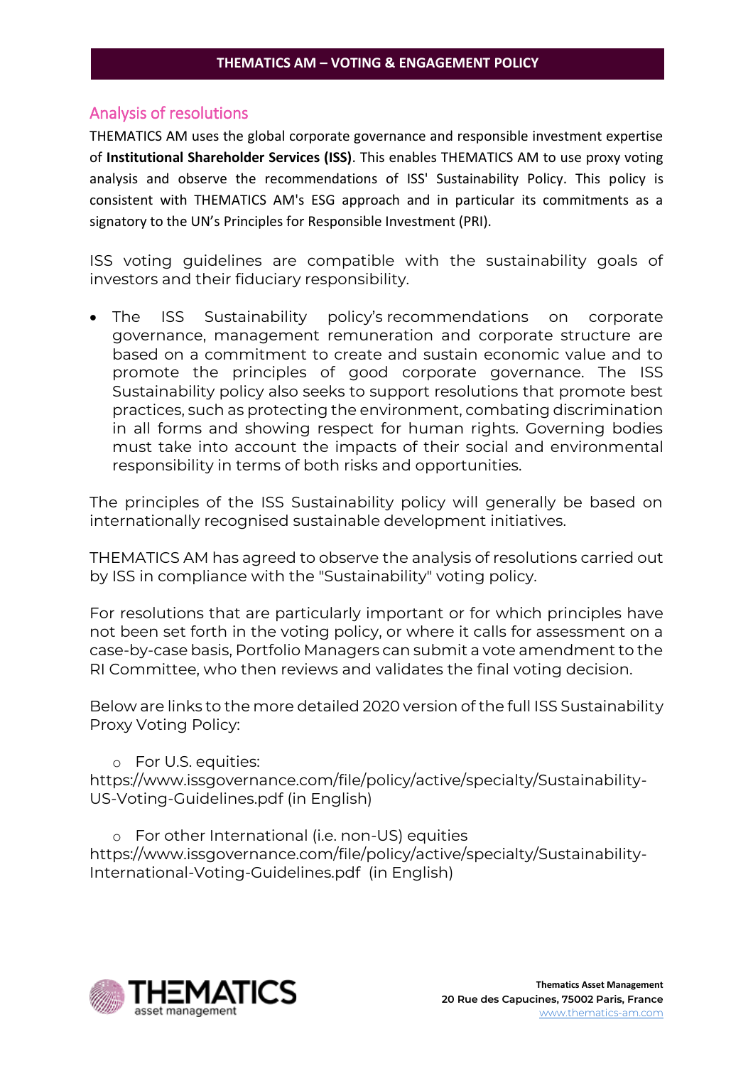# <span id="page-10-0"></span>Analysis of resolutions

THEMATICS AM uses the global corporate governance and responsible investment expertise of **Institutional Shareholder Services (ISS)**. This enables THEMATICS AM to use proxy voting analysis and observe the recommendations of ISS' Sustainability Policy. This policy is consistent with THEMATICS AM's ESG approach and in particular its commitments as a signatory to the UN's Principles for Responsible Investment (PRI).

ISS voting guidelines are compatible with the sustainability goals of investors and their fiduciary responsibility.

• The ISS Sustainability policy's recommendations on corporate governance, management remuneration and corporate structure are based on a commitment to create and sustain economic value and to promote the principles of good corporate governance. The ISS Sustainability policy also seeks to support resolutions that promote best practices, such as protecting the environment, combating discrimination in all forms and showing respect for human rights. Governing bodies must take into account the impacts of their social and environmental responsibility in terms of both risks and opportunities.

The principles of the ISS Sustainability policy will generally be based on internationally recognised sustainable development initiatives.

THEMATICS AM has agreed to observe the analysis of resolutions carried out by ISS in compliance with the "Sustainability" voting policy.

For resolutions that are particularly important or for which principles have not been set forth in the voting policy, or where it calls for assessment on a case-by-case basis, Portfolio Managers can submit a vote amendment to the RI Committee, who then reviews and validates the final voting decision.

Below are links to the more detailed 2020 version of the full ISS Sustainability Proxy Voting Policy:

# o For U.S. equities:

[https://www.issgovernance.com/file/policy/active/specialty/Sustainability-](https://www.issgovernance.com/file/policy/active/specialty/Sustainability-US-Voting-Guidelines.pdf)[US-Voting-Guidelines.pdf](https://www.issgovernance.com/file/policy/active/specialty/Sustainability-US-Voting-Guidelines.pdf) (in English)

o [For other International \(i.e. non-US\) equities](https://www.seeyond-am.com/Content/Files/Seeyond/Engagements/Politique%20de%20Vote/ISS_Sustainability%20Policy-International-Voting-Guidelines.pdf) [https://www.issgovernance.com/file/policy/active/specialty/Sustainability-](https://www.issgovernance.com/file/policy/active/specialty/Sustainability-International-Voting-Guidelines.pdf)[International-Voting-Guidelines.pdf](https://www.issgovernance.com/file/policy/active/specialty/Sustainability-International-Voting-Guidelines.pdf) (in English)

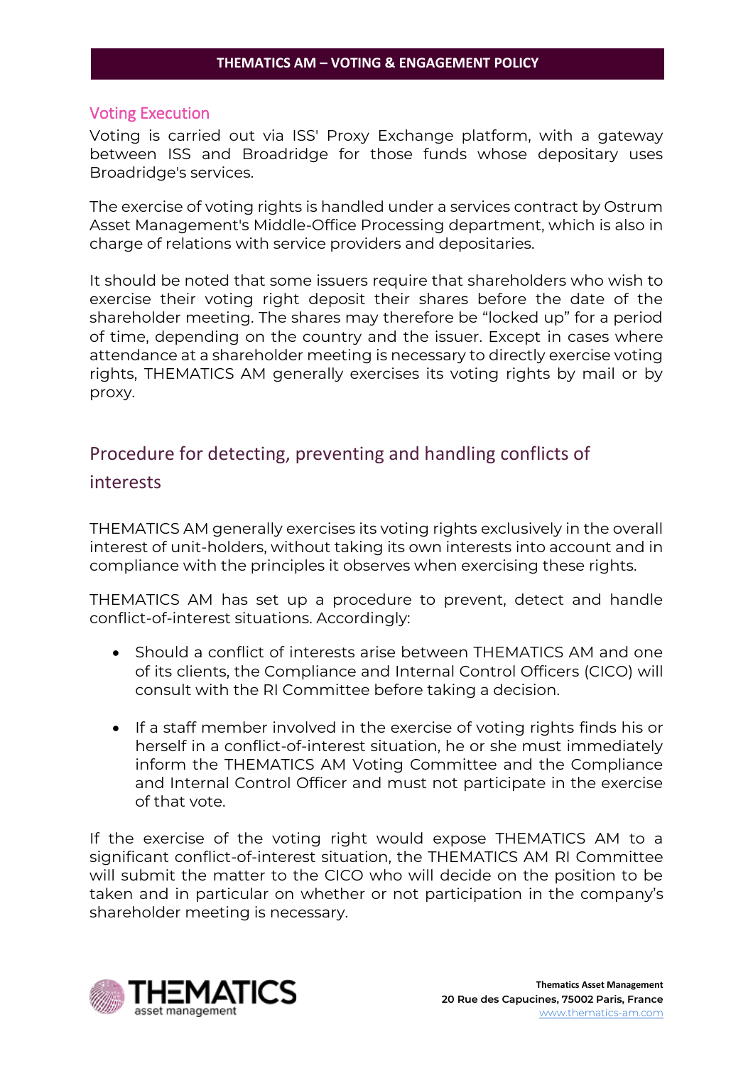# <span id="page-11-0"></span>Voting Execution

Voting is carried out via ISS' Proxy Exchange platform, with a gateway between ISS and Broadridge for those funds whose depositary uses Broadridge's services.

The exercise of voting rights is handled under a services contract by Ostrum Asset Management's Middle-Office Processing department, which is also in charge of relations with service providers and depositaries.

It should be noted that some issuers require that shareholders who wish to exercise their voting right deposit their shares before the date of the shareholder meeting. The shares may therefore be "locked up" for a period of time, depending on the country and the issuer. Except in cases where attendance at a shareholder meeting is necessary to directly exercise voting rights, THEMATICS AM generally exercises its voting rights by mail or by proxy.

# <span id="page-11-1"></span>Procedure for detecting, preventing and handling conflicts of interests

THEMATICS AM generally exercises its voting rights exclusively in the overall interest of unit-holders, without taking its own interests into account and in compliance with the principles it observes when exercising these rights.

THEMATICS AM has set up a procedure to prevent, detect and handle conflict-of-interest situations. Accordingly:

- Should a conflict of interests arise between THEMATICS AM and one of its clients, the Compliance and Internal Control Officers (CICO) will consult with the RI Committee before taking a decision.
- If a staff member involved in the exercise of voting rights finds his or herself in a conflict-of-interest situation, he or she must immediately inform the THEMATICS AM Voting Committee and the Compliance and Internal Control Officer and must not participate in the exercise of that vote.

If the exercise of the voting right would expose THEMATICS AM to a significant conflict-of-interest situation, the THEMATICS AM RI Committee will submit the matter to the CICO who will decide on the position to be taken and in particular on whether or not participation in the company's shareholder meeting is necessary.

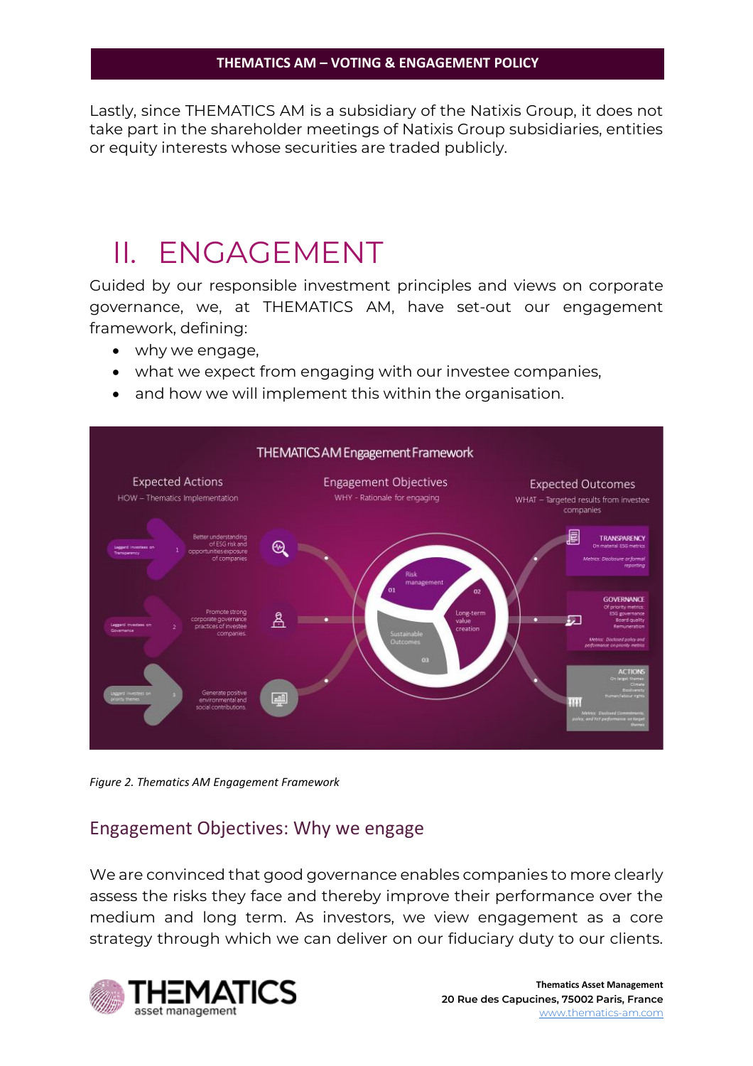Lastly, since THEMATICS AM is a subsidiary of the Natixis Group, it does not take part in the shareholder meetings of Natixis Group subsidiaries, entities or equity interests whose securities are traded publicly.

# <span id="page-12-0"></span>II. ENGAGEMENT

Guided by our responsible investment principles and views on corporate governance, we, at THEMATICS AM, have set-out our engagement framework, defining:

- why we engage,
- what we expect from engaging with our investee companies,
- and how we will implement this within the organisation.



*Figure 2. Thematics AM Engagement Framework*

# <span id="page-12-1"></span>Engagement Objectives: Why we engage

We are convinced that good governance enables companies to more clearly assess the risks they face and thereby improve their performance over the medium and long term. As investors, we view engagement as a core strategy through which we can deliver on our fiduciary duty to our clients.

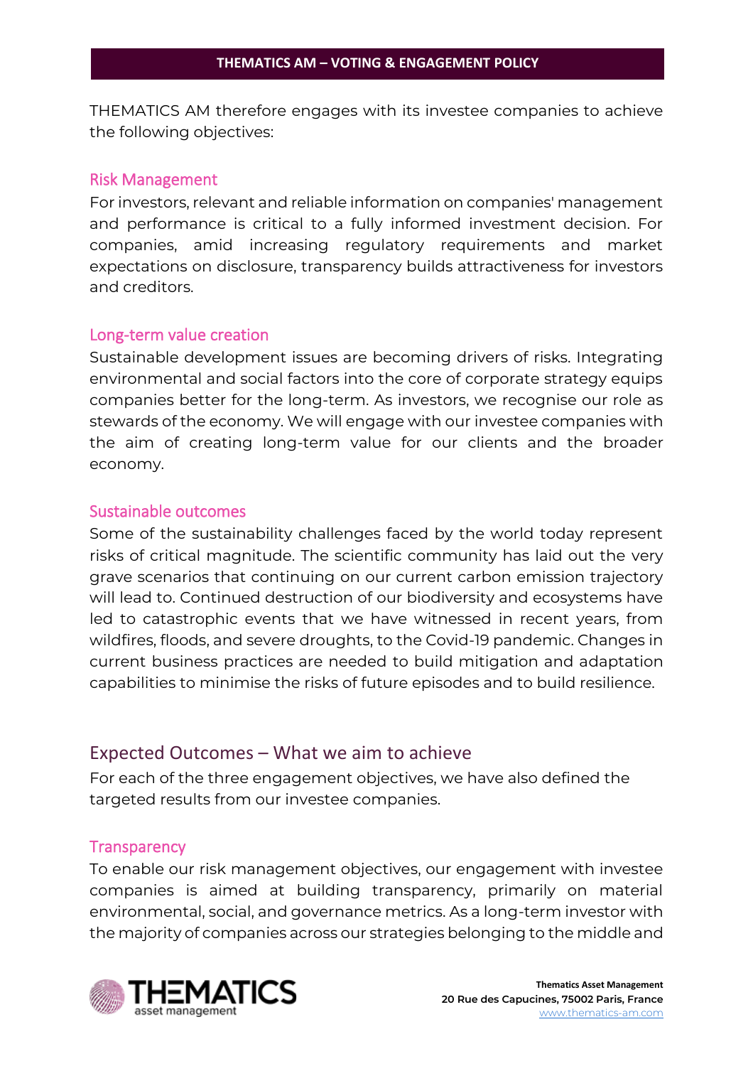THEMATICS AM therefore engages with its investee companies to achieve the following objectives:

# <span id="page-13-0"></span>Risk Management

For investors, relevant and reliable information on companies' management and performance is critical to a fully informed investment decision. For companies, amid increasing regulatory requirements and market expectations on disclosure, transparency builds attractiveness for investors and creditors.

# <span id="page-13-1"></span>Long-term value creation

Sustainable development issues are becoming drivers of risks. Integrating environmental and social factors into the core of corporate strategy equips companies better for the long-term. As investors, we recognise our role as stewards of the economy. We will engage with our investee companies with the aim of creating long-term value for our clients and the broader economy.

# <span id="page-13-2"></span>Sustainable outcomes

Some of the sustainability challenges faced by the world today represent risks of critical magnitude. The scientific community has laid out the very grave scenarios that continuing on our current carbon emission trajectory will lead to. Continued destruction of our biodiversity and ecosystems have led to catastrophic events that we have witnessed in recent years, from wildfires, floods, and severe droughts, to the Covid-19 pandemic. Changes in current business practices are needed to build mitigation and adaptation capabilities to minimise the risks of future episodes and to build resilience.

# <span id="page-13-3"></span>Expected Outcomes – What we aim to achieve

For each of the three engagement objectives, we have also defined the targeted results from our investee companies.

# <span id="page-13-4"></span>**Transparency**

To enable our risk management objectives, our engagement with investee companies is aimed at building transparency, primarily on material environmental, social, and governance metrics. As a long-term investor with the majority of companies across our strategies belonging to the middle and

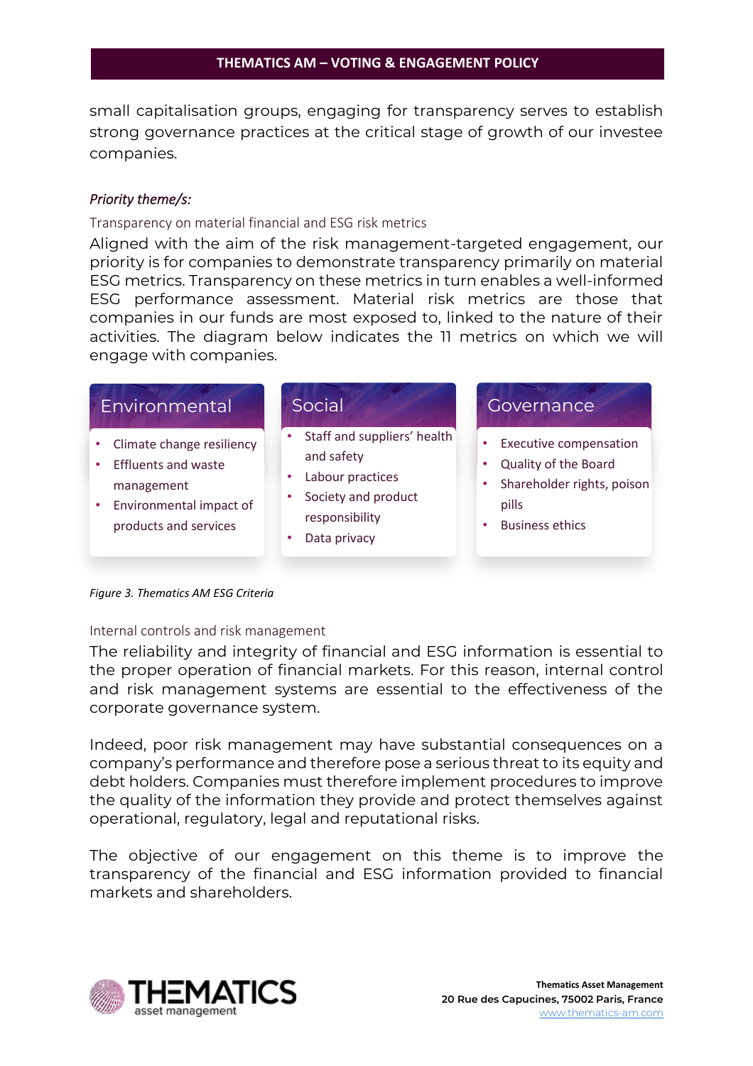small capitalisation groups, engaging for transparency serves to establish strong governance practices at the critical stage of growth of our investee companies.

# *Priority theme/s:*

#### Transparency on material financial and ESG risk metrics

Aligned with the aim of the risk management-targeted engagement, our priority is for companies to demonstrate transparency primarily on material ESG metrics. Transparency on these metrics in turn enables a well-informed ESG performance assessment. Material risk metrics are those that companies in our funds are most exposed to, linked to the nature of their activities. The diagram below indicates the 11 metrics on which we will engage with companies.

| Environmental                                                                                                                            | Social                                                                                                                 | Governance                                                                                                             |
|------------------------------------------------------------------------------------------------------------------------------------------|------------------------------------------------------------------------------------------------------------------------|------------------------------------------------------------------------------------------------------------------------|
| Climate change resiliency<br>٠<br><b>Effluents and waste</b><br>٠<br>management<br>Environmental impact of<br>٠<br>products and services | Staff and suppliers' health<br>and safety<br>Labour practices<br>Society and product<br>responsibility<br>Data privacy | <b>Executive compensation</b><br>Quality of the Board<br>Shareholder rights, poison<br>pills<br><b>Business ethics</b> |

*Figure 3. Thematics AM ESG Criteria*

### Internal controls and risk management

The reliability and integrity of financial and ESG information is essential to the proper operation of financial markets. For this reason, internal control and risk management systems are essential to the effectiveness of the corporate governance system.

Indeed, poor risk management may have substantial consequences on a company's performance and therefore pose a serious threat to its equity and debt holders. Companies must therefore implement procedures to improve the quality of the information they provide and protect themselves against operational, regulatory, legal and reputational risks.

The objective of our engagement on this theme is to improve the transparency of the financial and ESG information provided to financial markets and shareholders.

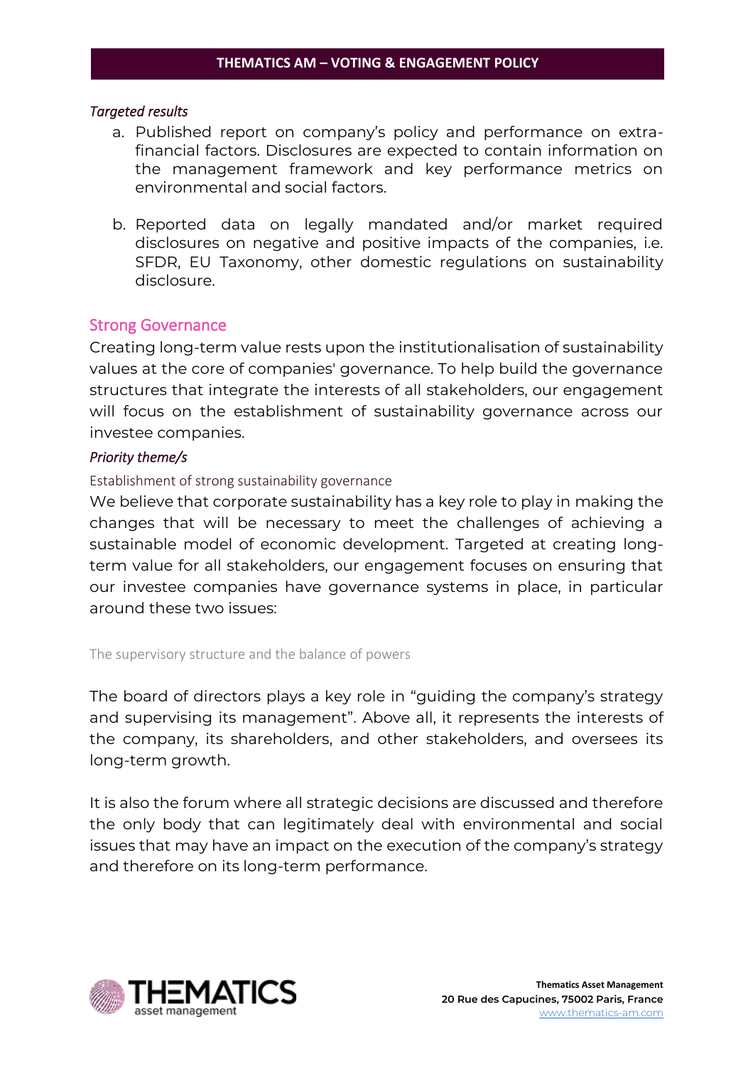### *Targeted results*

- a. Published report on company's policy and performance on extrafinancial factors. Disclosures are expected to contain information on the management framework and key performance metrics on environmental and social factors.
- b. Reported data on legally mandated and/or market required disclosures on negative and positive impacts of the companies, i.e. SFDR, EU Taxonomy, other domestic regulations on sustainability disclosure.

# <span id="page-15-0"></span>Strong Governance

Creating long-term value rests upon the institutionalisation of sustainability values at the core of companies' governance. To help build the governance structures that integrate the interests of all stakeholders, our engagement will focus on the establishment of sustainability governance across our investee companies.

# *Priority theme/s*

### Establishment of strong sustainability governance

We believe that corporate sustainability has a key role to play in making the changes that will be necessary to meet the challenges of achieving a sustainable model of economic development. Targeted at creating longterm value for all stakeholders, our engagement focuses on ensuring that our investee companies have governance systems in place, in particular around these two issues:

The supervisory structure and the balance of powers

The board of directors plays a key role in "guiding the company's strategy and supervising its management". Above all, it represents the interests of the company, its shareholders, and other stakeholders, and oversees its long-term growth.

It is also the forum where all strategic decisions are discussed and therefore the only body that can legitimately deal with environmental and social issues that may have an impact on the execution of the company's strategy and therefore on its long-term performance.

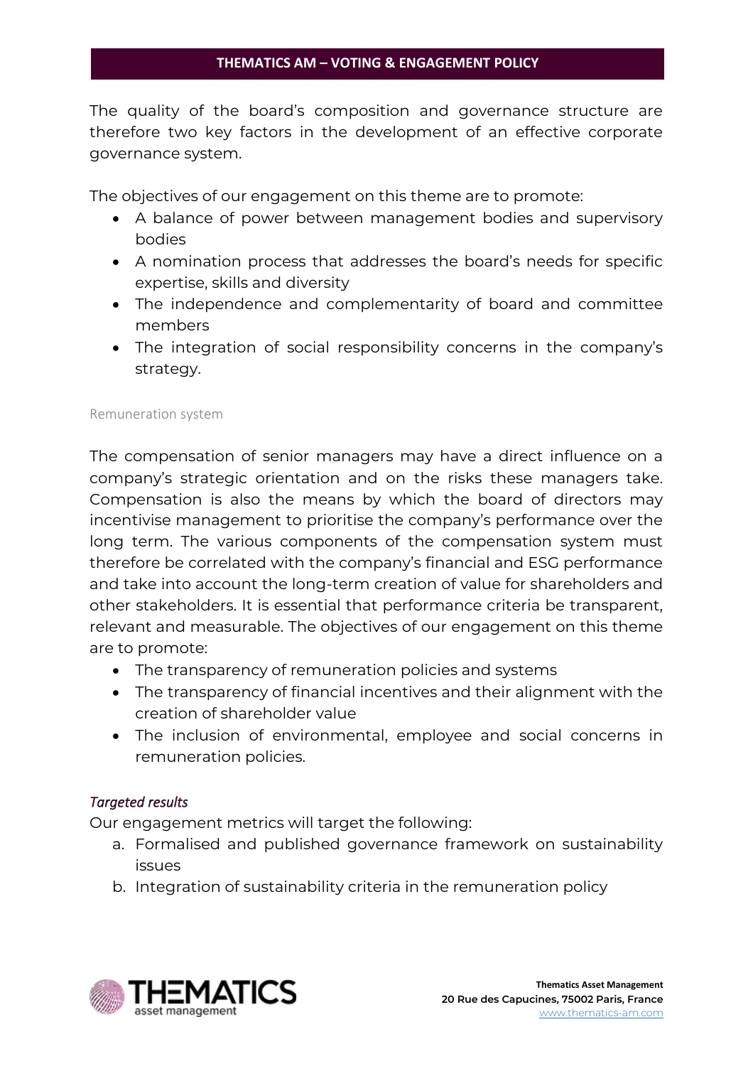The quality of the board's composition and governance structure are therefore two key factors in the development of an effective corporate governance system.

The objectives of our engagement on this theme are to promote:

- A balance of power between management bodies and supervisory bodies
- A nomination process that addresses the board's needs for specific expertise, skills and diversity
- The independence and complementarity of board and committee members
- The integration of social responsibility concerns in the company's strategy.

# Remuneration system

The compensation of senior managers may have a direct influence on a company's strategic orientation and on the risks these managers take. Compensation is also the means by which the board of directors may incentivise management to prioritise the company's performance over the long term. The various components of the compensation system must therefore be correlated with the company's financial and ESG performance and take into account the long-term creation of value for shareholders and other stakeholders. It is essential that performance criteria be transparent, relevant and measurable. The objectives of our engagement on this theme are to promote:

- The transparency of remuneration policies and systems
- The transparency of financial incentives and their alignment with the creation of shareholder value
- The inclusion of environmental, employee and social concerns in remuneration policies.

# *Targeted results*

Our engagement metrics will target the following:

- a. Formalised and published governance framework on sustainability issues
- b. Integration of sustainability criteria in the remuneration policy

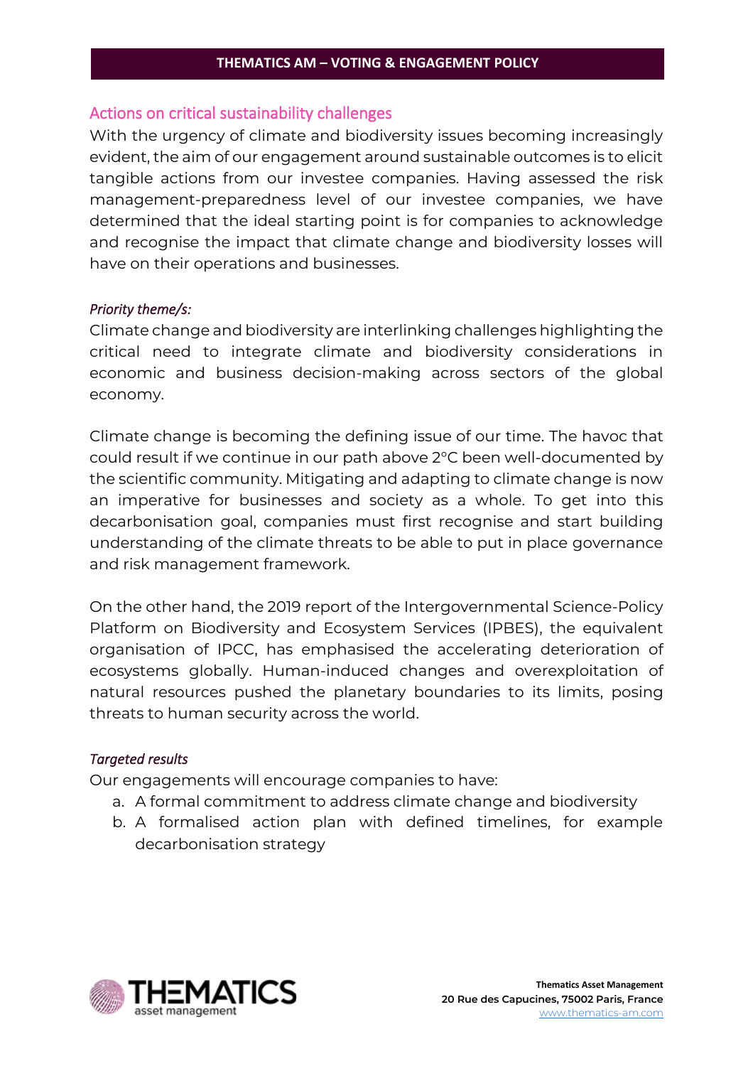# <span id="page-17-0"></span>Actions on critical sustainability challenges

With the urgency of climate and biodiversity issues becoming increasingly evident, the aim of our engagement around sustainable outcomes is to elicit tangible actions from our investee companies. Having assessed the risk management-preparedness level of our investee companies, we have determined that the ideal starting point is for companies to acknowledge and recognise the impact that climate change and biodiversity losses will have on their operations and businesses.

### *Priority theme/s:*

Climate change and biodiversity are interlinking challenges highlighting the critical need to integrate climate and biodiversity considerations in economic and business decision-making across sectors of the global economy.

Climate change is becoming the defining issue of our time. The havoc that could result if we continue in our path above 2°C been well-documented by the scientific community. Mitigating and adapting to climate change is now an imperative for businesses and society as a whole. To get into this decarbonisation goal, companies must first recognise and start building understanding of the climate threats to be able to put in place governance and risk management framework.

On the other hand, the 2019 report of the Intergovernmental Science-Policy Platform on Biodiversity and Ecosystem Services (IPBES), the equivalent organisation of IPCC, has emphasised the accelerating deterioration of ecosystems globally. Human-induced changes and overexploitation of natural resources pushed the planetary boundaries to its limits, posing threats to human security across the world.

### *Targeted results*

Our engagements will encourage companies to have:

- a. A formal commitment to address climate change and biodiversity
- b. A formalised action plan with defined timelines, for example decarbonisation strategy

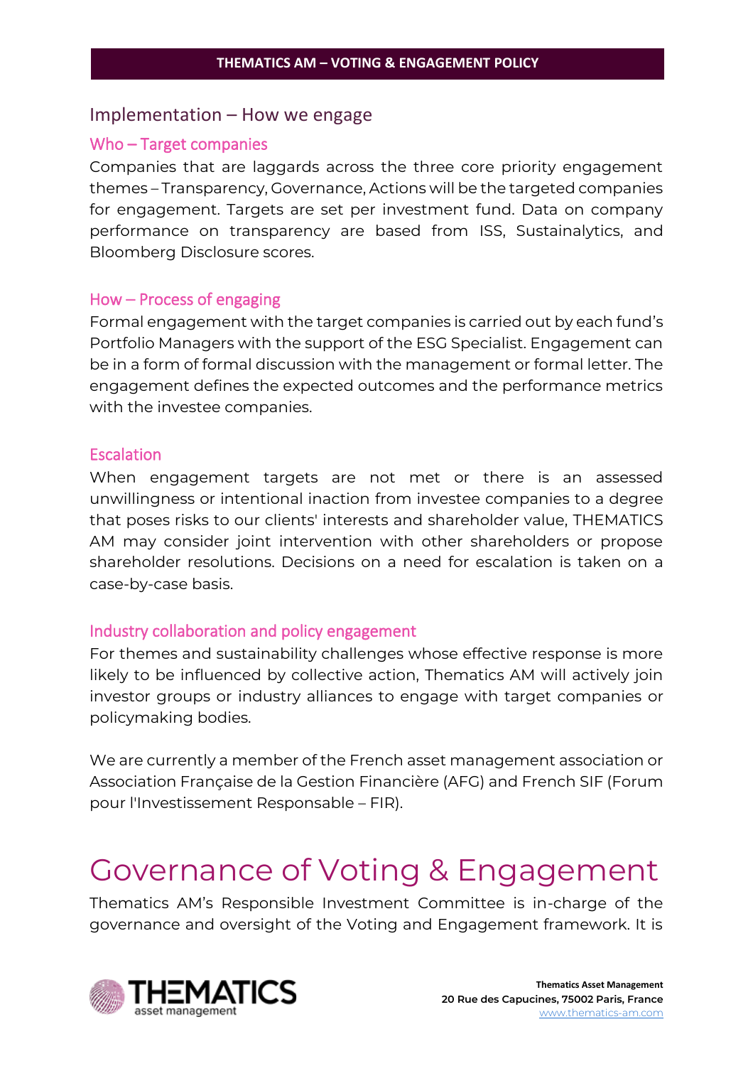# <span id="page-18-0"></span>Implementation – How we engage

### <span id="page-18-1"></span>Who – Target companies

Companies that are laggards across the three core priority engagement themes – Transparency, Governance, Actions will be the targeted companies for engagement. Targets are set per investment fund. Data on company performance on transparency are based from ISS, Sustainalytics, and Bloomberg Disclosure scores.

### <span id="page-18-2"></span>How – Process of engaging

Formal engagement with the target companies is carried out by each fund's Portfolio Managers with the support of the ESG Specialist. Engagement can be in a form of formal discussion with the management or formal letter. The engagement defines the expected outcomes and the performance metrics with the investee companies.

# <span id="page-18-3"></span>**Escalation**

When engagement targets are not met or there is an assessed unwillingness or intentional inaction from investee companies to a degree that poses risks to our clients' interests and shareholder value, THEMATICS AM may consider joint intervention with other shareholders or propose shareholder resolutions. Decisions on a need for escalation is taken on a case-by-case basis.

# <span id="page-18-4"></span>Industry collaboration and policy engagement

For themes and sustainability challenges whose effective response is more likely to be influenced by collective action, Thematics AM will actively join investor groups or industry alliances to engage with target companies or policymaking bodies.

We are currently a member of the French asset management association or Association Française de la Gestion Financière (AFG) and [French SIF \(Forum](https://www.frenchsif.org/isr-esg/french-sif/)  [pour l'Investissement Responsable](https://www.frenchsif.org/isr-esg/french-sif/) – FIR).

# <span id="page-18-5"></span>Governance of Voting & Engagement

Thematics AM's Responsible Investment Committee is in-charge of the governance and oversight of the Voting and Engagement framework. It is

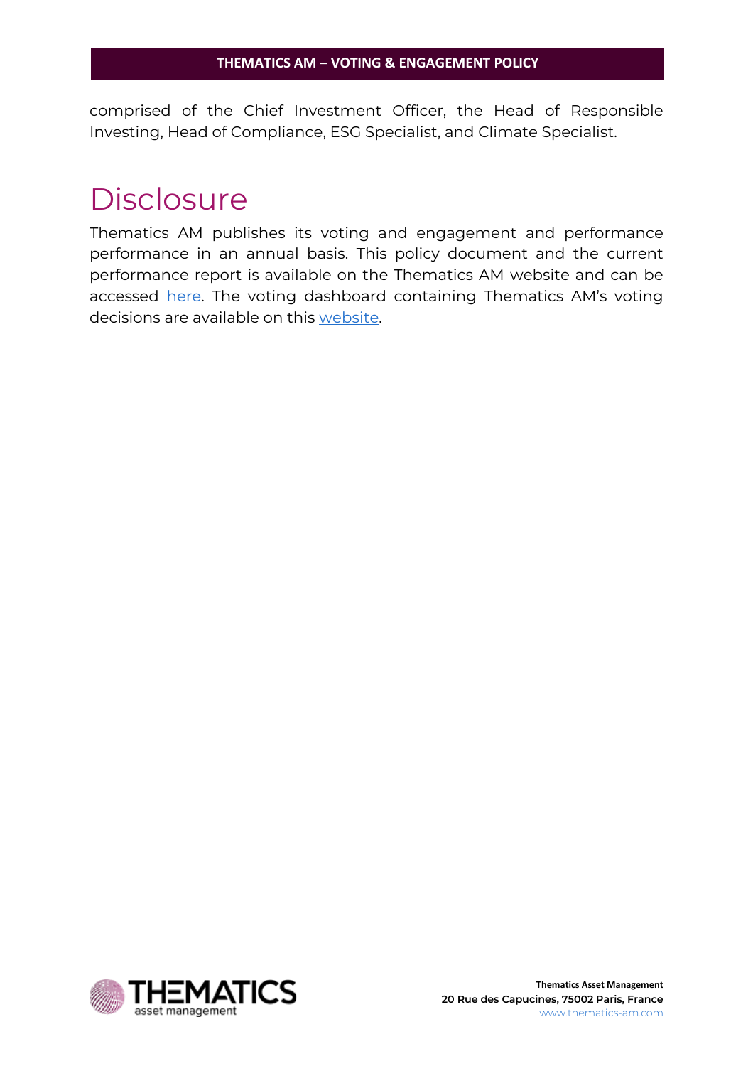comprised of the Chief Investment Officer, the Head of Responsible Investing, Head of Compliance, ESG Specialist, and Climate Specialist.

# <span id="page-19-0"></span>**Disclosure**

Thematics AM publishes its voting and engagement and performance performance in an annual basis. This policy document and the current performance report is available on the Thematics AM website and can be accessed [here.](https://thematics-am.com/about-us-being-responsible/) The voting dashboard containing Thematics AM's voting decisions are available on this [website.](https://vds.issgovernance.com/vds/#/MTE4MzI=/)